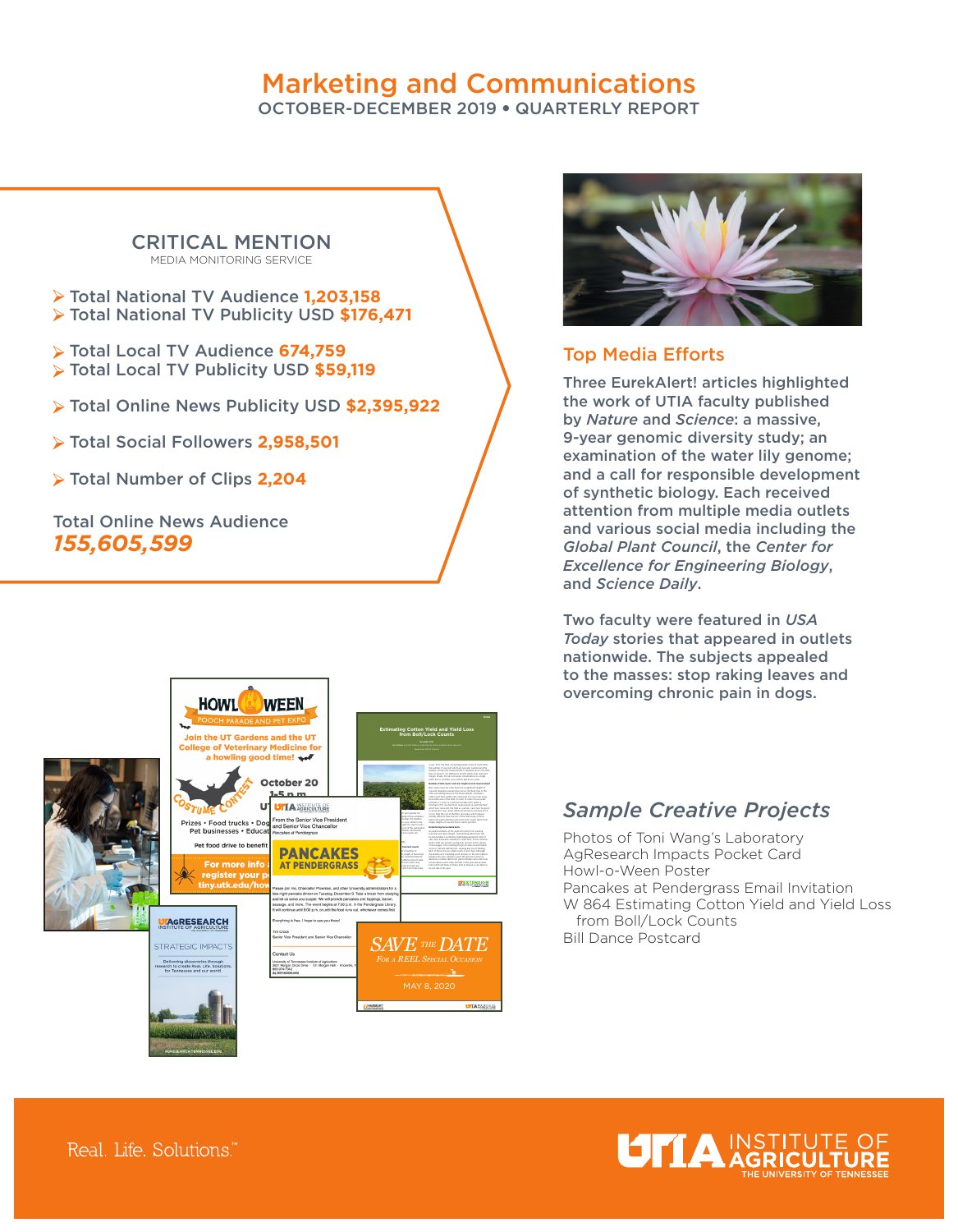# Marketing and Communications

OCTOBER-DECEMBER 2019 • QUARTERLY REPORT

#### CRITICAL MENTION MEDIA MONITORING SERVICE

- Total National TV Audience **1,203,158**  Total National TV Publicity USD **\$176,471**
- Total Local TV Audience **674,759**  Total Local TV Publicity USD **\$59,119**
- Total Online News Publicity USD **\$2,395,922**
- Total Social Followers **2,958,501**
- Total Number of Clips **2,204**

Total Online News Audience *155,605,599* 





### Top Media Efforts

Three EurekAlert! articles highlighted the work of UTIA faculty published by *Nature* and *Science*: a massive, 9-year genomic diversity study; an examination of the water lily genome; and a call for responsible development of synthetic biology. Each received attention from multiple media outlets and various social media including the *Global Plant Council*, the *Center for Excellence for Engineering Biology*, and *Science Daily*.

Two faculty were featured in *USA Today* stories that appeared in outlets nationwide. The subjects appealed to the masses: stop raking leaves and overcoming chronic pain in dogs.

## *Sample Creative Projects*

Photos of Toni Wang's Laboratory AgResearch Impacts Pocket Card Howl-o-Ween Poster Pancakes at Pendergrass Email Invitation W 864 Estimating Cotton Yield and Yield Loss from Boll/Lock Counts Bill Dance Postcard



Real. Life. Solutions."